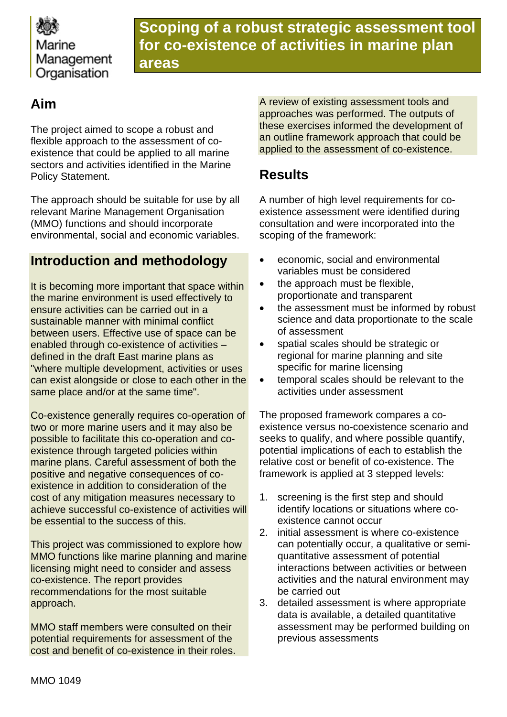

**Scoping of a robust strategic assessment tool for co-existence of activities in marine plan areas**

## **Aim**

The project aimed to scope a robust and flexible approach to the assessment of coexistence that could be applied to all marine sectors and activities identified in the Marine Policy Statement.

The approach should be suitable for use by all relevant Marine Management Organisation (MMO) functions and should incorporate environmental, social and economic variables.

### **Introduction and methodology**

It is becoming more important that space within the marine environment is used effectively to ensure activities can be carried out in a sustainable manner with minimal conflict between users. Effective use of space can be enabled through co-existence of activities – defined in the draft East marine plans as "where multiple development, activities or uses can exist alongside or close to each other in the same place and/or at the same time".

Co-existence generally requires co-operation of two or more marine users and it may also be possible to facilitate this co-operation and coexistence through targeted policies within marine plans. Careful assessment of both the positive and negative consequences of coexistence in addition to consideration of the cost of any mitigation measures necessary to achieve successful co-existence of activities will be essential to the success of this.

This project was commissioned to explore how MMO functions like marine planning and marine licensing might need to consider and assess co-existence. The report provides recommendations for the most suitable approach.

MMO staff members were consulted on their potential requirements for assessment of the cost and benefit of co-existence in their roles. A review of existing assessment tools and approaches was performed. The outputs of these exercises informed the development of an outline framework approach that could be applied to the assessment of co-existence.

## **Results**

A number of high level requirements for coexistence assessment were identified during consultation and were incorporated into the scoping of the framework:

- economic, social and environmental variables must be considered
- the approach must be flexible, proportionate and transparent
- the assessment must be informed by robust science and data proportionate to the scale of assessment
- spatial scales should be strategic or regional for marine planning and site specific for marine licensing
- temporal scales should be relevant to the activities under assessment

The proposed framework compares a coexistence versus no-coexistence scenario and seeks to qualify, and where possible quantify, potential implications of each to establish the relative cost or benefit of co-existence. The framework is applied at 3 stepped levels:

- 1. screening is the first step and should identify locations or situations where coexistence cannot occur
- 2. initial assessment is where co-existence can potentially occur, a qualitative or semiquantitative assessment of potential interactions between activities or between activities and the natural environment may be carried out
- 3. detailed assessment is where appropriate data is available, a detailed quantitative assessment may be performed building on previous assessments